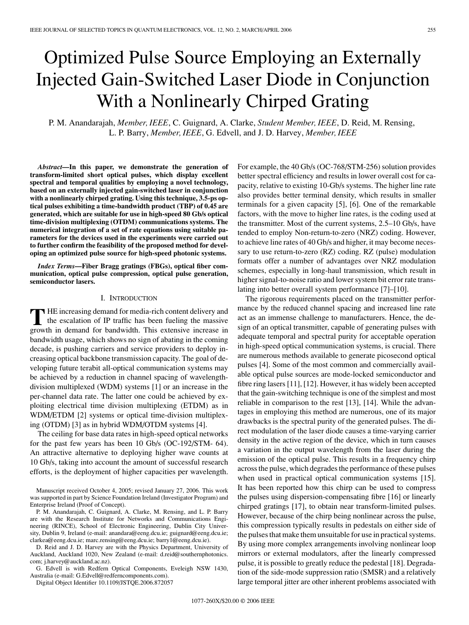# Optimized Pulse Source Employing an Externally Injected Gain-Switched Laser Diode in Conjunction With a Nonlinearly Chirped Grating

P. M. Anandarajah, *Member, IEEE*, C. Guignard, A. Clarke, *Student Member, IEEE*, D. Reid, M. Rensing, L. P. Barry, *Member, IEEE*, G. Edvell, and J. D. Harvey, *Member, IEEE*

*Abstract***—In this paper, we demonstrate the generation of transform-limited short optical pulses, which display excellent spectral and temporal qualities by employing a novel technology, based on an externally injected gain-switched laser in conjunction with a nonlinearly chirped grating. Using this technique, 3.5-ps optical pulses exhibiting a time-bandwidth product (TBP) of 0.45 are generated, which are suitable for use in high-speed 80 Gb/s optical time-division multiplexing (OTDM) communications systems. The numerical integration of a set of rate equations using suitable parameters for the devices used in the experiments were carried out to further confirm the feasibility of the proposed method for developing an optimized pulse source for high-speed photonic systems.**

*Index Terms***—Fiber Bragg gratings (FBGs), optical fiber communication, optical pulse compression, optical pulse generation, semiconductor lasers.**

### I. INTRODUCTION

**T** HE increasing demand for media-rich content delivery and the escalation of IP traffic has been fueling the massive growth in demand for bandwidth. This extensive increase in bandwidth usage, which shows no sign of abating in the coming decade, is pushing carriers and service providers to deploy increasing optical backbone transmission capacity. The goal of developing future terabit all-optical communication systems may be achieved by a reduction in channel spacing of wavelengthdivision multiplexed (WDM) systems [1] or an increase in the per-channel data rate. The latter one could be achieved by exploiting electrical time division multiplexing (ETDM) as in WDM/ETDM [2] systems or optical time-division multiplexing (OTDM) [3] as in hybrid WDM/OTDM systems [4].

The ceiling for base data rates in high-speed optical networks for the past few years has been 10 Gb/s (OC-192/STM- 64). An attractive alternative to deploying higher wave counts at 10 Gb/s, taking into account the amount of successful research efforts, is the deployment of higher capacities per wavelength.

D. Reid and J. D. Harvey are with the Physics Department, University of Auckland, Auckland 1020, New Zealand (e-mail: d.reid@southernphotonics. com; j.harvey@auckland.ac.nz).

G. Edvell is with Redfern Optical Components, Eveleigh NSW 1430, Australia (e-mail: G.Edvell@redferncomponents.com).

Digital Object Identifier 10.1109/JSTQE.2006.872057

For example, the 40 Gb/s (OC-768/STM-256) solution provides better spectral efficiency and results in lower overall cost for capacity, relative to existing 10-Gb/s systems. The higher line rate also provides better terminal density, which results in smaller terminals for a given capacity [5], [6]. One of the remarkable factors, with the move to higher line rates, is the coding used at the transmitter. Most of the current systems, 2.5–10 Gb/s, have tended to employ Non-return-to-zero (NRZ) coding. However, to achieve line rates of 40 Gb/s and higher, it may become necessary to use return-to-zero (RZ) coding. RZ (pulse) modulation formats offer a number of advantages over NRZ modulation schemes, especially in long-haul transmission, which result in higher signal-to-noise ratio and lower system bit error rate translating into better overall system performance [7]–[10].

The rigorous requirements placed on the transmitter performance by the reduced channel spacing and increased line rate act as an immense challenge to manufacturers. Hence, the design of an optical transmitter, capable of generating pulses with adequate temporal and spectral purity for acceptable operation in high-speed optical communication systems, is crucial. There are numerous methods available to generate picosecond optical pulses [4]. Some of the most common and commercially available optical pulse sources are mode-locked semiconductor and fibre ring lasers [11], [12]. However, it has widely been accepted that the gain-switching technique is one of the simplest and most reliable in comparison to the rest [13], [14]. While the advantages in employing this method are numerous, one of its major drawbacks is the spectral purity of the generated pulses. The direct modulation of the laser diode causes a time-varying carrier density in the active region of the device, which in turn causes a variation in the output wavelength from the laser during the emission of the optical pulse. This results in a frequency chirp across the pulse, which degrades the performance of these pulses when used in practical optical communication systems [15]. It has been reported how this chirp can be used to compress the pulses using dispersion-compensating fibre [16] or linearly chirped gratings [17], to obtain near transform-limited pulses. However, because of the chirp being nonlinear across the pulse, this compression typically results in pedestals on either side of the pulses that make them unsuitable for use in practical systems. By using more complex arrangements involving nonlinear loop mirrors or external modulators, after the linearly compressed pulse, it is possible to greatly reduce the pedestal [18]. Degradation of the side-mode suppression ratio (SMSR) and a relatively large temporal jitter are other inherent problems associated with

Manuscript received October 4, 2005; revised January 27, 2006. This work was supported in part by Science Foundation Ireland (Investigator Program) and Enterprise Ireland (Proof of Concept).

P. M. Anandarajah, C. Guignard, A. Clarke, M. Rensing, and L. P. Barry are with the Research Institute for Networks and Communications Engineering (RINCE), School of Electronic Engineering, Dublin City University, Dublin 9, Ireland (e-mail: anandara@eeng.dcu.ie; guignard@eeng.dcu.ie; clarkea@eeng.dcu.ie; marc.rensing@eeng.dcu.ie; barry1@eeng.dcu.ie).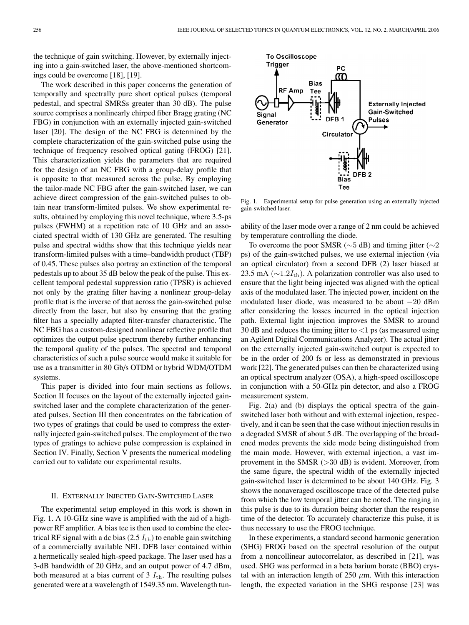the technique of gain switching. However, by externally injecting into a gain-switched laser, the above-mentioned shortcomings could be overcome [18], [19].

The work described in this paper concerns the generation of temporally and spectrally pure short optical pulses (temporal pedestal, and spectral SMRSs greater than 30 dB). The pulse source comprises a nonlinearly chirped fiber Bragg grating (NC FBG) in conjunction with an externally injected gain-switched laser [20]. The design of the NC FBG is determined by the complete characterization of the gain-switched pulse using the technique of frequency resolved optical gating (FROG) [21]. This characterization yields the parameters that are required for the design of an NC FBG with a group-delay profile that is opposite to that measured across the pulse. By employing the tailor-made NC FBG after the gain-switched laser, we can achieve direct compression of the gain-switched pulses to obtain near transform-limited pulses. We show experimental results, obtained by employing this novel technique, where 3.5-ps pulses (FWHM) at a repetition rate of 10 GHz and an associated spectral width of 130 GHz are generated. The resulting pulse and spectral widths show that this technique yields near transform-limited pulses with a time–bandwidth product (TBP) of 0.45. These pulses also portray an extinction of the temporal pedestals up to about 35 dB below the peak of the pulse. This excellent temporal pedestal suppression ratio (TPSR) is achieved not only by the grating filter having a nonlinear group-delay profile that is the inverse of that across the gain-switched pulse directly from the laser, but also by ensuring that the grating filter has a specially adapted filter-transfer characteristic. The NC FBG has a custom-designed nonlinear reflective profile that optimizes the output pulse spectrum thereby further enhancing the temporal quality of the pulses. The spectral and temporal characteristics of such a pulse source would make it suitable for use as a transmitter in 80 Gb/s OTDM or hybrid WDM/OTDM systems.

This paper is divided into four main sections as follows. Section II focuses on the layout of the externally injected gainswitched laser and the complete characterization of the generated pulses. Section III then concentrates on the fabrication of two types of gratings that could be used to compress the externally injected gain-switched pulses. The employment of the two types of gratings to achieve pulse compression is explained in Section IV. Finally, Section V presents the numerical modeling carried out to validate our experimental results.

### II. EXTERNALLY INJECTED GAIN-SWITCHED LASER

The experimental setup employed in this work is shown in Fig. 1. A 10-GHz sine wave is amplified with the aid of a highpower RF amplifier. A bias tee is then used to combine the electrical RF signal with a dc bias  $(2.5 I_{th})$  to enable gain switching of a commercially available NEL DFB laser contained within a hermetically sealed high-speed package. The laser used has a 3-dB bandwidth of 20 GHz, and an output power of 4.7 dBm, both measured at a bias current of 3  $I_{\text{th}}$ . The resulting pulses generated were at a wavelength of 1549.35 nm. Wavelength tun-



Fig. 1. Experimental setup for pulse generation using an externally injected gain-switched laser.

ability of the laser mode over a range of 2 nm could be achieved by temperature controlling the diode.

To overcome the poor SMSR ( $\sim$ 5 dB) and timing jitter ( $\sim$ 2 ps) of the gain-switched pulses, we use external injection (via an optical circulator) from a second DFB (2) laser biased at 23.5 mA ( $\sim$ 1.2 $I_{\text{th}}$ ). A polarization controller was also used to ensure that the light being injected was aligned with the optical axis of the modulated laser. The injected power, incident on the modulated laser diode, was measured to be about −20 dBm after considering the losses incurred in the optical injection path. External light injection improves the SMSR to around 30 dB and reduces the timing jitter to  $\langle 1 \rangle$  ps (as measured using an Agilent Digital Communications Analyzer). The actual jitter on the externally injected gain-switched output is expected to be in the order of 200 fs or less as demonstrated in previous work [22]. The generated pulses can then be characterized using an optical spectrum analyzer (OSA), a high-speed oscilloscope in conjunction with a 50-GHz pin detector, and also a FROG measurement system.

Fig. 2(a) and (b) displays the optical spectra of the gainswitched laser both without and with external injection, respectively, and it can be seen that the case without injection results in a degraded SMSR of about 5 dB. The overlapping of the broadened modes prevents the side mode being distinguished from the main mode. However, with external injection, a vast improvement in the SMSR  $(>30 \text{ dB})$  is evident. Moreover, from the same figure, the spectral width of the externally injected gain-switched laser is determined to be about 140 GHz. Fig. 3 shows the nonaveraged oscilloscope trace of the detected pulse from which the low temporal jitter can be noted. The ringing in this pulse is due to its duration being shorter than the response time of the detector. To accurately characterize this pulse, it is thus necessary to use the FROG technique.

In these experiments, a standard second harmonic generation (SHG) FROG based on the spectral resolution of the output from a noncollinear autocorrelator, as described in [21], was used. SHG was performed in a beta barium borate (BBO) crystal with an interaction length of 250  $\mu$ m. With this interaction length, the expected variation in the SHG response [23] was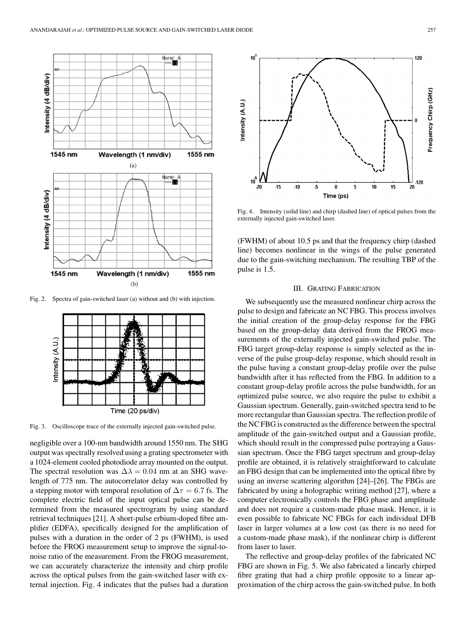

Fig. 2. Spectra of gain-switched laser (a) without and (b) with injection.



Fig. 3. Oscilloscope trace of the externally injected gain-switched pulse.

negligible over a 100-nm bandwidth around 1550 nm. The SHG output was spectrally resolved using a grating spectrometer with a 1024-element cooled photodiode array mounted on the output. The spectral resolution was  $\Delta\lambda = 0.04$  nm at an SHG wavelength of 775 nm. The autocorrelator delay was controlled by a stepping motor with temporal resolution of  $\Delta \tau = 6.7$  fs. The complete electric field of the input optical pulse can be determined from the measured spectrogram by using standard retrieval techniques [21]. A short-pulse erbium-doped fibre amplifier (EDFA), specifically designed for the amplification of pulses with a duration in the order of 2 ps (FWHM), is used before the FROG measurement setup to improve the signal-tonoise ratio of the measurement. From the FROG measurement, we can accurately characterize the intensity and chirp profile across the optical pulses from the gain-switched laser with external injection. Fig. 4 indicates that the pulses had a duration



Fig. 4. Intensity (solid line) and chirp (dashed line) of optical pulses from the externally injected gain-switched laser.

(FWHM) of about 10.5 ps and that the frequency chirp (dashed line) becomes nonlinear in the wings of the pulse generated due to the gain-switching mechanism. The resulting TBP of the pulse is 1.5.

#### III. GRATING FABRICATION

We subsequently use the measured nonlinear chirp across the pulse to design and fabricate an NC FBG. This process involves the initial creation of the group-delay response for the FBG based on the group-delay data derived from the FROG measurements of the externally injected gain-switched pulse. The FBG target group-delay response is simply selected as the inverse of the pulse group-delay response, which should result in the pulse having a constant group-delay profile over the pulse bandwidth after it has reflected from the FBG. In addition to a constant group-delay profile across the pulse bandwidth, for an optimized pulse source, we also require the pulse to exhibit a Gaussian spectrum. Generally, gain-switched spectra tend to be more rectangular than Gaussian spectra. The reflection profile of the NC FBG is constructed as the difference between the spectral amplitude of the gain-switched output and a Gaussian profile, which should result in the compressed pulse portraying a Gaussian spectrum. Once the FBG target spectrum and group-delay profile are obtained, it is relatively straightforward to calculate an FBG design that can be implemented into the optical fibre by using an inverse scattering algorithm [24]–[26]. The FBGs are fabricated by using a holographic writing method [27], where a computer electronically controls the FBG phase and amplitude and does not require a custom-made phase mask. Hence, it is even possible to fabricate NC FBGs for each individual DFB laser in larger volumes at a low cost (as there is no need for a custom-made phase mask), if the nonlinear chirp is different from laser to laser.

The reflective and group-delay profiles of the fabricated NC FBG are shown in Fig. 5. We also fabricated a linearly chirped fibre grating that had a chirp profile opposite to a linear approximation of the chirp across the gain-switched pulse. In both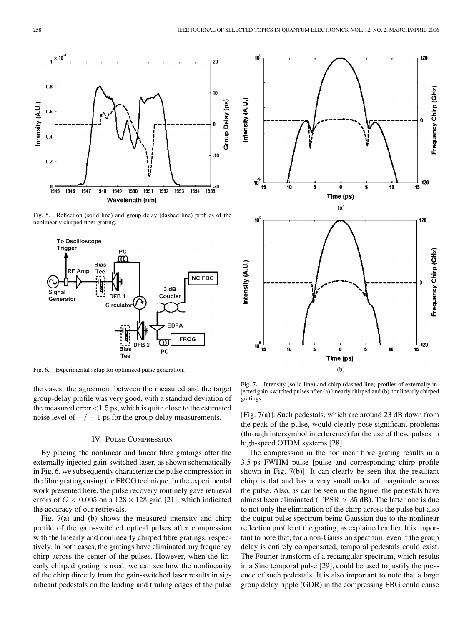

Fig. 5. Reflection (solid line) and group delay (dashed line) profiles of the nonlinearly chirped fiber grating.



Fig. 6. Experimental setup for optimized pulse generation.

the cases, the agreement between the measured and the target group-delay profile was very good, with a standard deviation of the measured error  $<$ 1.5 ps, which is quite close to the estimated noise level of  $+/-1$  ps for the group-delay measurements.

#### IV. PULSE COMPRESSION

By placing the nonlinear and linear fibre gratings after the externally injected gain-switched laser, as shown schematically in Fig. 6, we subsequently characterize the pulse compression in the fibre gratings using the FROG technique. In the experimental work presented here, the pulse recovery routinely gave retrieval errors of  $G < 0.005$  on a 128  $\times$  128 grid [21], which indicated the accuracy of our retrievals.

Fig. 7(a) and (b) shows the measured intensity and chirp profile of the gain-switched optical pulses after compression with the linearly and nonlinearly chirped fibre gratings, respectively. In both cases, the gratings have eliminated any frequency chirp across the center of the pulses. However, when the linearly chirped grating is used, we can see how the nonlinearity of the chirp directly from the gain-switched laser results in significant pedestals on the leading and trailing edges of the pulse



Fig. 7. Intensity (solid line) and chirp (dashed line) profiles of externally injected gain-switched pulses after (a) linearly chirped and (b) nonlinearly chirped gratings.

[Fig. 7(a)]. Such pedestals, which are around 23 dB down from the peak of the pulse, would clearly pose significant problems (through intersymbol interference) for the use of these pulses in high-speed OTDM systems [28].

The compression in the nonlinear fibre grating results in a 3.5-ps FWHM pulse [pulse and corresponding chirp profile shown in Fig. 7(b)]. It can clearly be seen that the resultant chirp is flat and has a very small order of magnitude across the pulse. Also, as can be seen in the figure, the pedestals have almost been eliminated (TPSR  $>$  35 dB). The latter one is due to not only the elimination of the chirp across the pulse but also the output pulse spectrum being Gaussian due to the nonlinear reflection profile of the grating, as explained earlier. It is important to note that, for a non-Gaussian spectrum, even if the group delay is entirely compensated, temporal pedestals could exist. The Fourier transform of a rectangular spectrum, which results in a Sinc temporal pulse [29], could be used to justify the presence of such pedestals. It is also important to note that a large group delay ripple (GDR) in the compressing FBG could cause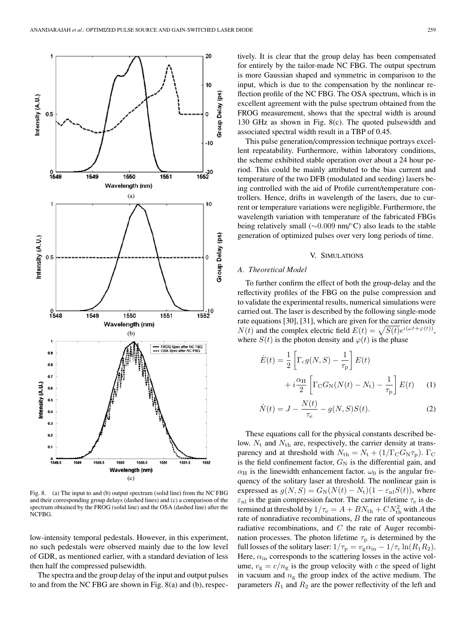

Fig. 8. (a) The input to and (b) output spectrum (solid line) from the NC FBG and their corresponding group delays (dashed lines) and (c) a comparison of the spectrum obtained by the FROG (solid line) and the OSA (dashed line) after the NCFBG.

low-intensity temporal pedestals. However, in this experiment, no such pedestals were observed mainly due to the low level of GDR, as mentioned earlier, with a standard deviation of less then half the compressed pulsewidth.

The spectra and the group delay of the input and output pulses to and from the NC FBG are shown in Fig. 8(a) and (b), respectively. It is clear that the group delay has been compensated for entirely by the tailor-made NC FBG. The output spectrum is more Gaussian shaped and symmetric in comparison to the input, which is due to the compensation by the nonlinear reflection profile of the NC FBG. The OSA spectrum, which is in excellent agreement with the pulse spectrum obtained from the FROG measurement, shows that the spectral width is around 130 GHz as shown in Fig. 8(c). The quoted pulsewidth and associated spectral width result in a TBP of 0.45.

This pulse generation/compression technique portrays excellent repeatability. Furthermore, within laboratory conditions, the scheme exhibited stable operation over about a 24 hour period. This could be mainly attributed to the bias current and temperature of the two DFB (modulated and seeding) lasers being controlled with the aid of Profile current/temperature controllers. Hence, drifts in wavelength of the lasers, due to current or temperature variations were negligible. Furthermore, the wavelength variation with temperature of the fabricated FBGs being relatively small (∼0.009 nm/◦C) also leads to the stable generation of optimized pulses over very long periods of time.

#### V. SIMULATIONS

## *A. Theoretical Model*

To further confirm the effect of both the group-delay and the reflectivity profiles of the FBG on the pulse compression and to validate the experimental results, numerical simulations were carried out. The laser is described by the following single-mode rate equations [30], [31], which are given for the carrier density  $N(t)$  and the complex electric field  $E(t) = \sqrt{S(t)}e^{i(\omega t + \varphi(t))}$ , where  $S(t)$  is the photon density and  $\varphi(t)$  is the phase

$$
\dot{E}(t) = \frac{1}{2} \left[ \Gamma_c g(N, S) - \frac{1}{\tau_{\rm p}} \right] E(t)
$$

$$
+ i \frac{\alpha_{\rm H}}{2} \left[ \Gamma_{\rm C} G_{\rm N}(N(t) - N_{\rm t}) - \frac{1}{\tau_{\rm p}} \right] E(t) \tag{1}
$$

$$
\dot{N}(t) = J - \frac{N(t)}{\tau_{\rm e}} - g(N, S)S(t). \tag{2}
$$

These equations call for the physical constants described below.  $N_t$  and  $N_{th}$  are, respectively, the carrier density at transparency and at threshold with  $N_{\text{th}} = N_{\text{t}} + (1/\Gamma_{\text{C}}G_{\text{N}}\tau_{\text{p}})$ .  $\Gamma_{\text{C}}$ is the field confinement factor,  $G_N$  is the differential gain, and  $\alpha_H$  is the linewidth enhancement factor.  $\omega_0$  is the angular frequency of the solitary laser at threshold. The nonlinear gain is expressed as  $g(N, S) = G_N(N(t) - N_t)(1 - \varepsilon_{nl}S(t))$ , where  $\varepsilon_{\rm nl}$  is the gain compression factor. The carrier lifetime  $\tau_{\rm e}$  is determined at threshold by  $1/\tau_{\rm e}=A+BN_{\rm th}+CN_{\rm th}^2$  with  $A$  the rate of nonradiative recombinations,  $B$  the rate of spontaneous radiative recombinations, and  $C$  the rate of Auger recombination processes. The photon lifetime  $\tau_p$  is determined by the full losses of the solitary laser:  $1/\tau_p = v_g \alpha_{in} - 1/\tau_c \ln(R_1 R_2)$ . Here,  $\alpha_{\rm in}$  corresponds to the scattering losses in the active volume,  $v_{\rm g} = c/n_{\rm g}$  is the group velocity with c the speed of light in vacuum and  $n<sub>g</sub>$  the group index of the active medium. The parameters  $R_1$  and  $R_2$  are the power reflectivity of the left and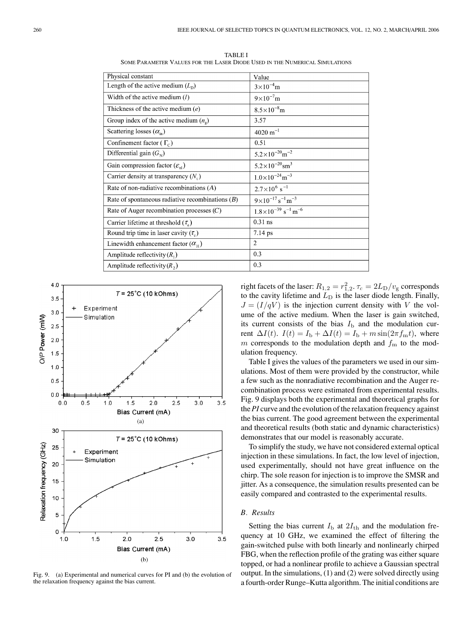| Physical constant                                  | Value                                               |
|----------------------------------------------------|-----------------------------------------------------|
| Length of the active medium $(L_{\rm D})$          | $3\times10^{-4}$ m                                  |
| Width of the active medium $(l)$                   | $9\times10^{-7}$ m                                  |
| Thickness of the active medium $(e)$               | $8.5 \times 10^{-8}$ m                              |
| Group index of the active medium $(ns)$            | 3.57                                                |
| Scattering losses $(\alpha_{in})$                  | $4020 \; \mathrm{m}^{-1}$                           |
| Confinement factor ( $\Gamma_c$ )                  | 0.51                                                |
| Differential gain $(GN)$                           | $5.2\times10^{-20}$ m <sup>-2</sup>                 |
| Gain compression factor $(\mathcal{E}_{nl})$       | $5.2\times10^{-20}$ sm <sup>3</sup>                 |
| Carrier density at transparency $(N_1)$            | $1.0\times10^{-24}$ m <sup>-3</sup>                 |
| Rate of non-radiative recombinations $(A)$         | $2.7\times10^{6}$ s <sup>-1</sup>                   |
| Rate of spontaneous radiative recombinations $(B)$ | $9\times10^{-17}$ s <sup>-1</sup> m <sup>-3</sup>   |
| Rate of Auger recombination processes $(C)$        | $1.8\times10^{-39}$ s <sup>-1</sup> m <sup>-6</sup> |
| Carrier lifetime at threshold $(\tau_e)$           | $0.31$ ns                                           |
| Round trip time in laser cavity $(\tau_c)$         | 7.14 ps                                             |
| Linewidth enhancement factor $(\alpha_{\text{H}})$ | $\overline{2}$                                      |
| Amplitude reflectivity $(R_1)$                     | 0.3                                                 |
| Amplitude reflectivity $(R_2)$                     | 0.3                                                 |

TABLE I SOME PARAMETER VALUES FOR THE LASER DIODE USED IN THE NUMERICAL SIMULATIONS



Fig. 9. (a) Experimental and numerical curves for PI and (b) the evolution of the relaxation frequency against the bias current.

right facets of the laser:  $R_{1,2} = r_{1,2}^2$ .  $\tau_c = 2L_\mathrm{D}/v_\mathrm{g}$  corresponds to the cavity lifetime and  $L<sub>D</sub>$  is the laser diode length. Finally,  $J = (I/qV)$  is the injection current density with V the volume of the active medium. When the laser is gain switched, its current consists of the bias  $I<sub>b</sub>$  and the modulation current  $\Delta I(t)$ .  $I(t) = I_{\text{b}} + \Delta I(t) = I_{\text{b}} + m \sin(2\pi f_{\text{m}}t)$ , where m corresponds to the modulation depth and  $f<sub>m</sub>$  to the modulation frequency.

Table I gives the values of the parameters we used in our simulations. Most of them were provided by the constructor, while a few such as the nonradiative recombination and the Auger recombination process were estimated from experimental results. Fig. 9 displays both the experimental and theoretical graphs for the *PI* curve and the evolution of the relaxation frequency against the bias current. The good agreement between the experimental and theoretical results (both static and dynamic characteristics) demonstrates that our model is reasonably accurate.

To simplify the study, we have not considered external optical injection in these simulations. In fact, the low level of injection, used experimentally, should not have great influence on the chirp. The sole reason for injection is to improve the SMSR and jitter. As a consequence, the simulation results presented can be easily compared and contrasted to the experimental results.

## *B. Results*

Setting the bias current  $I<sub>b</sub>$  at  $2I<sub>th</sub>$  and the modulation frequency at 10 GHz, we examined the effect of filtering the gain-switched pulse with both linearly and nonlinearly chirped FBG, when the reflection profile of the grating was either square topped, or had a nonlinear profile to achieve a Gaussian spectral output. In the simulations, (1) and (2) were solved directly using a fourth-order Runge–Kutta algorithm. The initial conditions are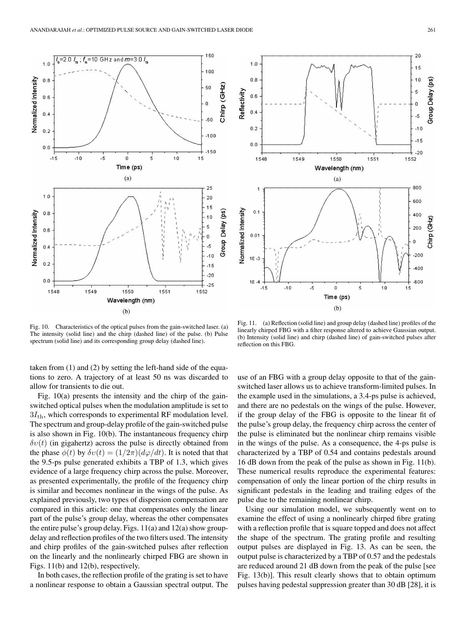

20  $1.0$ 15  $0.8$  $10$ Group Delay (ps) Reflectivity 5  $0.6$ o  $0.4$ -5  $0.2$  $-10$  $-15$  $0.0$  $-20$ 1548 1549 1550 1551 1552 Wavelength (nm)  $(a)$ 800 600 Normalized Intensity  $0.1$ 400 Chirp (GHz) 200  $0.01$  $-200$  $1E-3$  $-400$ -600  $1E - 4$  $15$  $-5$  $\ddot{\mathbf{s}}$  $-10$ o  $10$  $-15$ Time (ps)

Fig. 10. Characteristics of the optical pulses from the gain-switched laser. (a) The intensity (solid line) and the chirp (dashed line) of the pulse. (b) Pulse spectrum (solid line) and its corresponding group delay (dashed line).

taken from (1) and (2) by setting the left-hand side of the equations to zero. A trajectory of at least 50 ns was discarded to allow for transients to die out.

Fig. 10(a) presents the intensity and the chirp of the gainswitched optical pulses when the modulation amplitude is set to  $3I_{\text{th}}$ , which corresponds to experimental RF modulation level. The spectrum and group-delay profile of the gain-switched pulse is also shown in Fig. 10(b). The instantaneous frequency chirp  $\delta v(t)$  (in gigahertz) across the pulse is directly obtained from the phase  $\phi(t)$  by  $\delta v(t) = (1/2\pi)(d\varphi/dt)$ . It is noted that that the 9.5-ps pulse generated exhibits a TBP of 1.3, which gives evidence of a large frequency chirp across the pulse. Moreover, as presented experimentally, the profile of the frequency chirp is similar and becomes nonlinear in the wings of the pulse. As explained previously, two types of dispersion compensation are compared in this article: one that compensates only the linear part of the pulse's group delay, whereas the other compensates the entire pulse's group delay. Figs. 11(a) and 12(a) show groupdelay and reflection profiles of the two filters used. The intensity and chirp profiles of the gain-switched pulses after reflection on the linearly and the nonlinearly chirped FBG are shown in Figs. 11(b) and 12(b), respectively.

In both cases, the reflection profile of the grating is set to have a nonlinear response to obtain a Gaussian spectral output. The

Fig. 11. (a) Reflection (solid line) and group delay (dashed line) profiles of the linearly chirped FBG with a filter response altered to achieve Gaussian output. (b) Intensity (solid line) and chirp (dashed line) of gain-switched pulses after reflection on this FBG.

 $(b)$ 

use of an FBG with a group delay opposite to that of the gainswitched laser allows us to achieve transform-limited pulses. In the example used in the simulations, a 3.4-ps pulse is achieved, and there are no pedestals on the wings of the pulse. However, if the group delay of the FBG is opposite to the linear fit of the pulse's group delay, the frequency chirp across the center of the pulse is eliminated but the nonlinear chirp remains visible in the wings of the pulse. As a consequence, the 4-ps pulse is characterized by a TBP of 0.54 and contains pedestals around 16 dB down from the peak of the pulse as shown in Fig. 11(b). These numerical results reproduce the experimental features: compensation of only the linear portion of the chirp results in significant pedestals in the leading and trailing edges of the pulse due to the remaining nonlinear chirp.

Using our simulation model, we subsequently went on to examine the effect of using a nonlinearly chirped fibre grating with a reflection profile that is square topped and does not affect the shape of the spectrum. The grating profile and resulting output pulses are displayed in Fig. 13. As can be seen, the output pulse is characterized by a TBP of 0.57 and the pedestals are reduced around 21 dB down from the peak of the pulse [see Fig. 13(b)]. This result clearly shows that to obtain optimum pulses having pedestal suppression greater than 30 dB [28], it is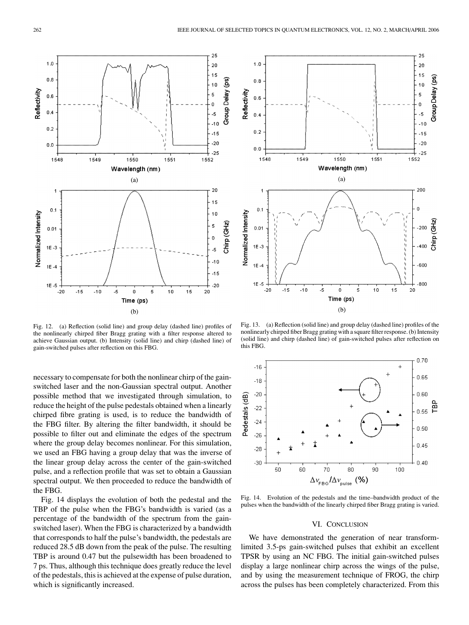

Fig. 12. (a) Reflection (solid line) and group delay (dashed line) profiles of the nonlinearly chirped fiber Bragg grating with a filter response altered to achieve Gaussian output. (b) Intensity (solid line) and chirp (dashed line) of gain-switched pulses after reflection on this FBG.

necessary to compensate for both the nonlinear chirp of the gainswitched laser and the non-Gaussian spectral output. Another possible method that we investigated through simulation, to reduce the height of the pulse pedestals obtained when a linearly chirped fibre grating is used, is to reduce the bandwidth of the FBG filter. By altering the filter bandwidth, it should be possible to filter out and eliminate the edges of the spectrum where the group delay becomes nonlinear. For this simulation, we used an FBG having a group delay that was the inverse of the linear group delay across the center of the gain-switched pulse, and a reflection profile that was set to obtain a Gaussian spectral output. We then proceeded to reduce the bandwidth of the FBG.

Fig. 14 displays the evolution of both the pedestal and the TBP of the pulse when the FBG's bandwidth is varied (as a percentage of the bandwidth of the spectrum from the gainswitched laser). When the FBG is characterized by a bandwidth that corresponds to half the pulse's bandwidth, the pedestals are reduced 28.5 dB down from the peak of the pulse. The resulting TBP is around 0.47 but the pulsewidth has been broadened to 7 ps. Thus, although this technique does greatly reduce the level of the pedestals, this is achieved at the expense of pulse duration, which is significantly increased.



Fig. 13. (a) Reflection (solid line) and group delay (dashed line) profiles of the nonlinearly chirped fiber Bragg grating with a square filter response. (b) Intensity (solid line) and chirp (dashed line) of gain-switched pulses after reflection on this FBG.



Fig. 14. Evolution of the pedestals and the time–bandwidth product of the pulses when the bandwidth of the linearly chirped fiber Bragg grating is varied.

#### VI. CONCLUSION

We have demonstrated the generation of near transformlimited 3.5-ps gain-switched pulses that exhibit an excellent TPSR by using an NC FBG. The initial gain-switched pulses display a large nonlinear chirp across the wings of the pulse, and by using the measurement technique of FROG, the chirp across the pulses has been completely characterized. From this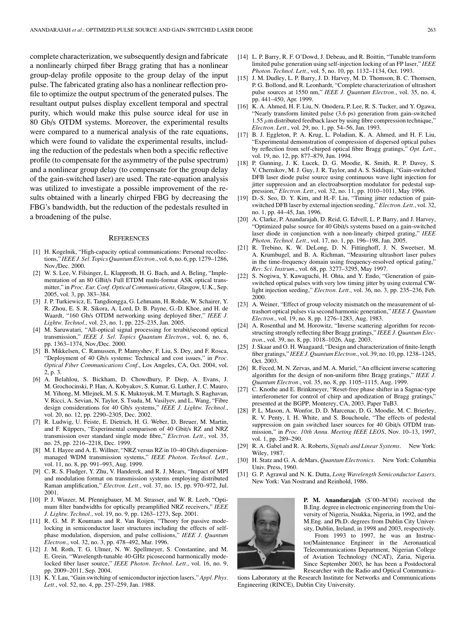complete characterization, we subsequently design and fabricate a nonlinearly chirped fiber Bragg grating that has a nonlinear group-delay profile opposite to the group delay of the input pulse. The fabricated grating also has a nonlinear reflection profile to optimize the output spectrum of the generated pulses. The resultant output pulses display excellent temporal and spectral purity, which would make this pulse source ideal for use in 80 Gb/s OTDM systems. Moreover, the experimental results were compared to a numerical analysis of the rate equations, which were found to validate the experimental results, including the reduction of the pedestals when both a specific reflective profile (to compensate for the asymmetry of the pulse spectrum) and a nonlinear group delay (to compensate for the group delay of the gain-switched laser) are used. The rate-equation analysis was utilized to investigate a possible improvement of the results obtained with a linearly chirped FBG by decreasing the FBG's bandwidth, but the reduction of the pedestals resulted in a broadening of the pulse.

#### **REFERENCES**

- [1] H. Kogelnik, "High-capacity optical communications: Personal recollections," *IEEE J. Sel. Topics Quantum Electron.*, vol. 6, no. 6, pp. 1279–1286, Nov./Dec. 2000.
- [2] W. S. Lee, V. Filsinger, L. Klapproth, H. G. Bach, and A. Beling, "Implementation of an 80 GBit/s Full ETDM multi-format ASK optical transmitter," in *Proc. Eur. Conf. Optical Communications,* Glasgow, U.K., Sep. 2005, vol. 3, pp. 383–384.
- [3] J. P. Turkiewicz, E. Tangdiongga, G. Lehmann, H. Rohde, W. Schairer, Y. R. Zhou, E. S. R. Sikora, A. Lord, D. B. Payne, G.-D. Khoe, and H. de Waardt, "160 Gb/s OTDM networking using deployed fiber," *IEEE J. Lightw. Technol.*, vol. 23, no. 1, pp. 225–235, Jan. 2005.
- [4] M. Saruwatari, "All-optical signal processing for terabit/second optical transmission," *IEEE J. Sel. Topics Quantum Electron.*, vol. 6, no. 6, pp. 1363–1374, Nov./Dec. 2000.
- [5] B. Mikkelsen, C. Ramussen, P. Mamyshev, F. Liu, S. Dey, and F. Rosca, "Deployment of 40 Gb/s systems: Technical and cost issues," in *Proc. Optical Fiber Communications Conf.*, Los Angeles, CA, Oct. 2004, vol. 2, p. 3.
- [6] A. Belahlou, S. Bickham, D. Chowdhury, P. Diep, A. Evans, J. M. Grochocinski, P. Han, A. Kobyakov, S. Kumar, G. Luther, J. C. Mauro, M. Yihong, M. Mlejnek, M. S. K. Muktoyuk, M. T. Murtagh, S. Raghavan, V. Ricci, A. Sevian, N. Taylor, S. Tsuda, M. Vasilyev, and L. Wang, "Fibre design considerations for 40 Gb/s systems," *IEEE J. Lightw. Technol.*, vol. 20, no. 12, pp. 2290–2305, Dec. 2002.
- [7] R. Ludwig, U. Feiste, E. Dietrich, H. G. Weber, D. Breuer, M. Martin, and F. Küppers, "Experimental comparison of 40 Gbit/s RZ and NRZ transmission over standard single mode fibre," *Electron. Lett.*, vol. 35, no. 25, pp. 2216–2218, Dec. 1999.
- [8] M. I. Hayee and A. E. Willner, "NRZ versus RZ in 10–40 Gb/s dispersionmanaged WDM transmission systems," *IEEE Photon. Technol. Lett.*, vol. 11, no. 8, pp. 991–993, Aug. 1999.
- [9] C. R. S. Fludger, Y. Zhu, V. Handerek, and R. J. Mears, "Impact of MPI and modulation format on transmission systems employing distributed Raman amplification," *Electron. Lett.*, vol. 37, no. 15, pp. 970–972, Jul. 2001.
- [10] P. J. Winzer, M. Pfennigbauer, M. M. Strasser, and W. R. Leeb, "Optimum filter bandwidths for optically preamplified NRZ receivers," *IEEE J. Lightw. Technol.*, vol. 19, no. 9, pp. 1263–1273, Sep. 2001.
- [11] R. G. M. P. Koumans and R. Van Roijen, "Theory for passive modelocking in semiconductor laser structures including the effects of selfphase modulation, dispersion, and pulse collisions," *IEEE J. Quantum Electron.*, vol. 32, no. 3, pp. 478–492, Mar. 1996.
- [12] J. M. Roth, T. G. Ulmer, N. W. Spellmeyer, S. Constantine, and M. E. Grein, "Wavelength-tunable 40-GHz picosecond harmonically modelocked fiber laser source," *IEEE Photon. Technol. Lett.*, vol. 16, no. 9, pp. 2009–2011, Sep. 2004.
- [13] K. Y. Lau, "Gain switching of semiconductor injection lasers," *Appl. Phys. Lett.*, vol. 52, no. 4, pp. 257–259, Jan. 1988.
- [14] L. P. Barry, R. F. O'Dowd, J. Debeau, and R. Boittin, "Tunable transform limited pulse generation using self-injection locking of an FP laser," *IEEE Photon. Technol. Lett.*, vol. 5, no. 10, pp. 1132–1134, Oct. 1993.
- [15] J. M. Dudley, L. P. Barry, J. D. Harvey, M. D. Thomson, B. C. Thomsen, P. G. Bollond, and R. Leonhardt, "Complete characterization of ultrashort pulse sources at 1550 nm," *IEEE J. Quantum Electron.*, vol. 35, no. 4, pp. 441–450, Apr. 1999.
- [16] K. A. Ahmed, H. F. Liu, N. Onodera, P. Lee, R. S. Tucker, and Y. Ogawa, "Nearly transform limited pulse (3.6 ps) generation from gain-switched 1.55  $\mu$ m distributed feedback laser by using fibre compression technique," *Electron. Lett.*, vol. 29, no. 1, pp. 54–56, Jan. 1993.
- [17] B. J. Eggleton, P. A. Krug, L. Poladian, K. A. Ahmed, and H. F. Liu, "Experimental demonstration of compression of dispersed optical pulses by reflection from self-chirped optical fibre Bragg gratings," *Opt. Lett.*, vol. 19, no. 12, pp. 877–879, Jun. 1994.
- [18] P. Gunning, J. K. Lucek, D. G. Moodie, K. Smith, R. P. Davey, S. V. Chernikov, M. J. Guy, J. R. Taylor, and A. S. Siddiqui, "Gain-switched DFB laser diode pulse source using continuous wave light injection for jitter suppression and an electroabsorption modulator for pedestal suppression," *Electron. Lett.*, vol. 32, no. 11, pp. 1010–1011, May 1996.
- [19] D.-S. Seo, D. Y. Kim, and H.-F. Liu, "Timing jitter reduction of gainswitched DFB laser by external injection seeding," *Electron. Lett.*, vol. 32, no. 1, pp. 44–45, Jan. 1996.
- [20] A. Clarke, P. Anandarajah, D. Reid, G. Edvell, L. P. Barry, and J. Harvey, "Optimized pulse source for 40 Gbit/s systems based on a gain-switched laser diode in conjunction with a non-linearly chirped grating," *IEEE Photon. Technol. Lett.*, vol. 17, no. 1, pp. 196–198, Jan. 2005.
- [21] R. Trebino, K. W. DeLong, D. N. Fittinghoff, J. N. Sweetser, M. A. Krumbugel, and B. A. Richman, "Measuring ultrashort laser pulses in the time-frequency domain using frequency-resolved optical gating,' *Rev. Sci. Instrum.*, vol. 68, pp. 3277–3295, May 1997.
- [22] S. Nogiwa, Y. Kawaguchi, H. Ohta, and Y. Endo, "Generation of gainswitched optical pulses with very low timing jitter by using external CWlight injection seeding," *Electron. Lett.*, vol. 36, no. 3, pp. 235–236, Feb. 2000.
- [23] A. Weiner, "Effect of group velocity mismatch on the measurement of ultrashort optical pulses via second harmonic generation," *IEEE J. Quantum Electron.*, vol. 19, no. 8, pp. 1276–1283, Aug. 1983.
- [24] A. Rosenthal and M. Horowitz, "Inverse scattering algorithm for reconstructing strongly reflecting fiber Bragg gratings," *IEEE J. Quantum Electron.*, vol. 39, no. 8, pp. 1018–1026, Aug. 2003.
- [25] J. Skaar and O. H. Waagaard, "Design and characterization of finite-length fiber gratings," *IEEE J. Quantum Electron.*, vol. 39, no. 10, pp. 1238–1245, Oct. 2003.
- [26] R. Feced, M. N. Zervas, and M. A. Muriel, "An efficient inverse scattering algorithm for the design of non-uniform fibre Bragg gratings," *IEEE J. Quantum Electron.*, vol. 35, no. 8, pp. 1105–1115, Aug. 1999.
- [27] C. Knothe and E. Brinkmeyer, "Reset-free phase shifter in a Sagnac-type interferometer for control of chirp and apodization of Bragg gratings," presented at the BGPP, Monterey, CA, 2003, Paper TuB3.
- [28] P. L. Mason, A. Wonfor, D. D. Marcenac, D. G. Moodie, M. C. Brierley, R. V. Penty, I. H. White, and S. Bouchoule, "The effects of pedestal suppression on gain switched laser sources for 40 Gbit/s OTDM tranmission," in *Proc. 10th Annu. Meeting IEEE LEOS*, Nov. 10–13, 1997, vol. 1, pp. 289–290.
- [29] R. A. Gabel and R. A. Roberts, *Signals and Linear Systems*. New York: Wiley, 1987.
- [30] H. Statz and G. A. deMars, *Quantum Electronics*. New York: Columbia Univ. Press, 1960.
- [31] G. P. Agrawal and N. K. Dutta, *Long Wavelength Semiconductor Lasers*. New York: Van Nostrand and Reinhold, 1986.



**P. M. Anandarajah** (S'00–M'04) received the B.Eng. degree in electronic engineering from the University of Nigeria, Nsukka, Nigeria, in 1992, and the M.Eng. and Ph.D. degrees from Dublin City University, Dublin, Ireland, in 1998 and 2003, respectively.

From 1993 to 1997, he was an Instructor/Maintenance Engineer in the Aeronautical Telecommunications Department, Nigerian College of Aviation Technology (NCAT), Zaria, Nigeria. Since September 2003, he has been a Postdoctoral Researcher with the Radio and Optical Communica-

tions Laboratory at the Research Institute for Networks and Communications Engineering (RINCE), Dublin City University.